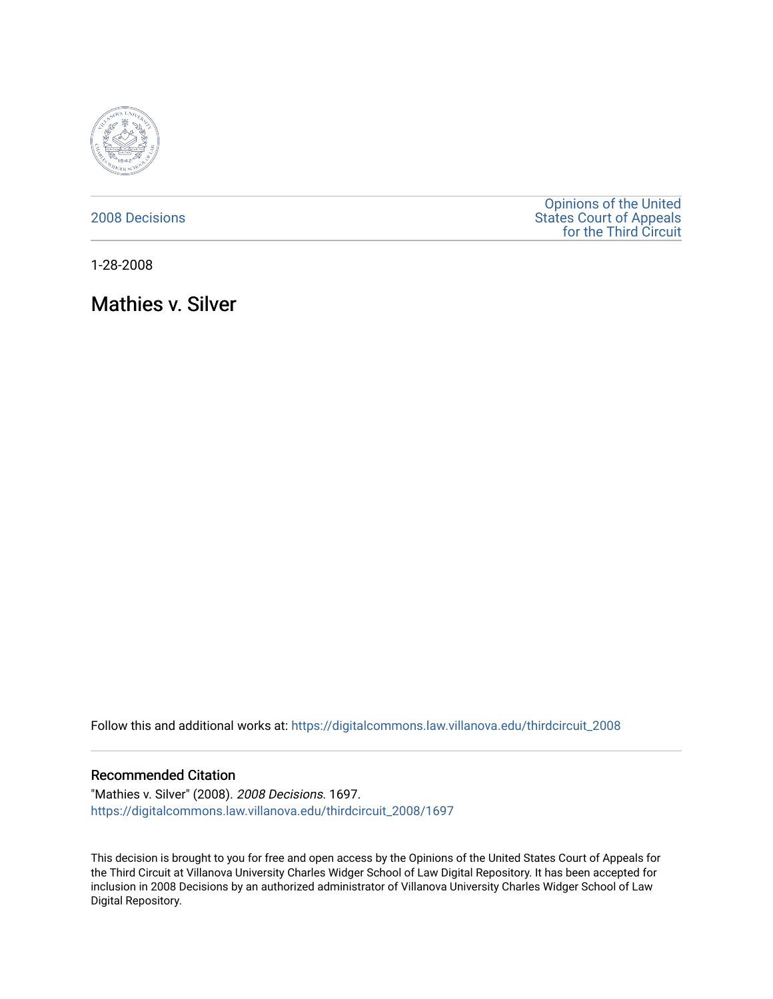

### [2008 Decisions](https://digitalcommons.law.villanova.edu/thirdcircuit_2008)

[Opinions of the United](https://digitalcommons.law.villanova.edu/thirdcircuit)  [States Court of Appeals](https://digitalcommons.law.villanova.edu/thirdcircuit)  [for the Third Circuit](https://digitalcommons.law.villanova.edu/thirdcircuit) 

1-28-2008

Mathies v. Silver

Follow this and additional works at: [https://digitalcommons.law.villanova.edu/thirdcircuit\\_2008](https://digitalcommons.law.villanova.edu/thirdcircuit_2008?utm_source=digitalcommons.law.villanova.edu%2Fthirdcircuit_2008%2F1697&utm_medium=PDF&utm_campaign=PDFCoverPages) 

#### Recommended Citation

"Mathies v. Silver" (2008). 2008 Decisions. 1697. [https://digitalcommons.law.villanova.edu/thirdcircuit\\_2008/1697](https://digitalcommons.law.villanova.edu/thirdcircuit_2008/1697?utm_source=digitalcommons.law.villanova.edu%2Fthirdcircuit_2008%2F1697&utm_medium=PDF&utm_campaign=PDFCoverPages) 

This decision is brought to you for free and open access by the Opinions of the United States Court of Appeals for the Third Circuit at Villanova University Charles Widger School of Law Digital Repository. It has been accepted for inclusion in 2008 Decisions by an authorized administrator of Villanova University Charles Widger School of Law Digital Repository.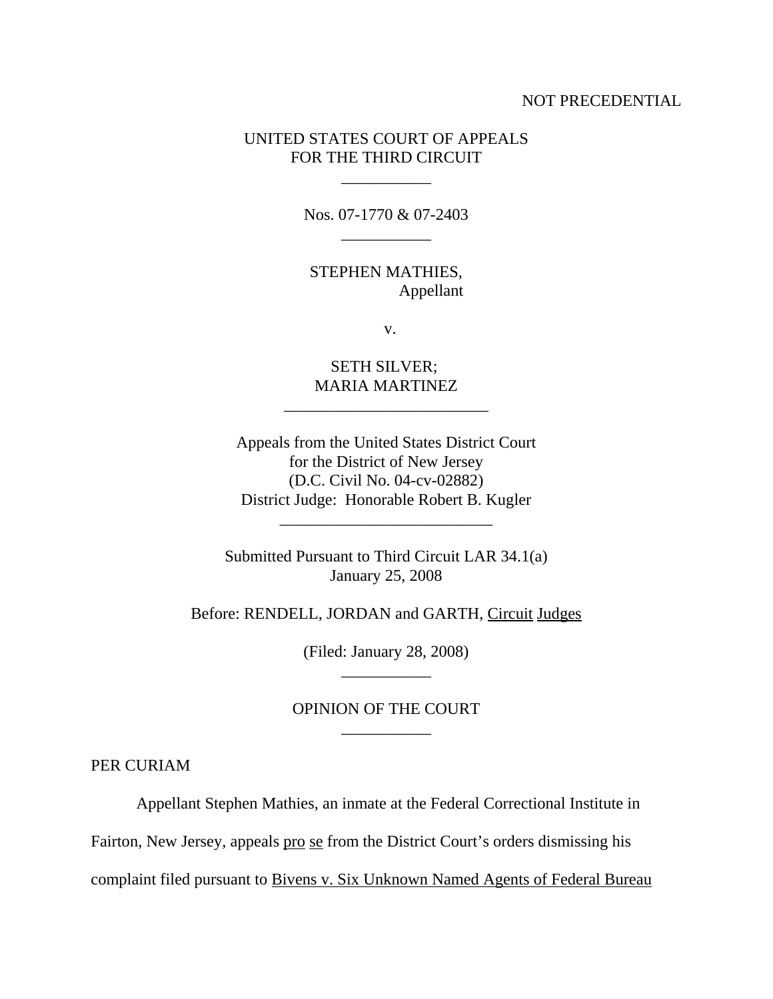#### NOT PRECEDENTIAL

## UNITED STATES COURT OF APPEALS FOR THE THIRD CIRCUIT

Nos. 07-1770 & 07-2403 \_\_\_\_\_\_\_\_\_\_\_

\_\_\_\_\_\_\_\_\_\_\_

STEPHEN MATHIES, Appellant

v.

SETH SILVER; MARIA MARTINEZ

\_\_\_\_\_\_\_\_\_\_\_\_\_\_\_\_\_\_\_\_\_\_\_\_\_

Appeals from the United States District Court for the District of New Jersey (D.C. Civil No. 04-cv-02882) District Judge: Honorable Robert B. Kugler

\_\_\_\_\_\_\_\_\_\_\_\_\_\_\_\_\_\_\_\_\_\_\_\_\_\_

Submitted Pursuant to Third Circuit LAR 34.1(a) January 25, 2008

Before: RENDELL, JORDAN and GARTH, Circuit Judges

(Filed: January 28, 2008) \_\_\_\_\_\_\_\_\_\_\_

# OPINION OF THE COURT \_\_\_\_\_\_\_\_\_\_\_

PER CURIAM

Appellant Stephen Mathies, an inmate at the Federal Correctional Institute in

Fairton, New Jersey, appeals pro se from the District Court's orders dismissing his

complaint filed pursuant to Bivens v. Six Unknown Named Agents of Federal Bureau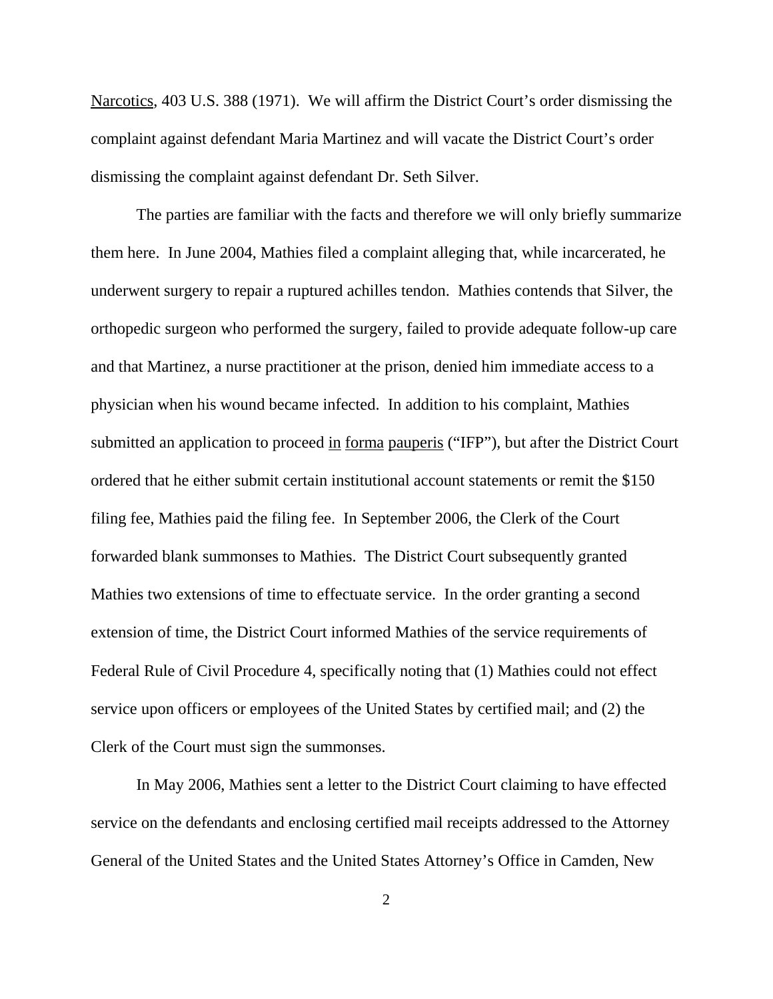Narcotics, 403 U.S. 388 (1971). We will affirm the District Court's order dismissing the complaint against defendant Maria Martinez and will vacate the District Court's order dismissing the complaint against defendant Dr. Seth Silver.

The parties are familiar with the facts and therefore we will only briefly summarize them here. In June 2004, Mathies filed a complaint alleging that, while incarcerated, he underwent surgery to repair a ruptured achilles tendon. Mathies contends that Silver, the orthopedic surgeon who performed the surgery, failed to provide adequate follow-up care and that Martinez, a nurse practitioner at the prison, denied him immediate access to a physician when his wound became infected. In addition to his complaint, Mathies submitted an application to proceed in <u>forma pauperis</u> ("IFP"), but after the District Court ordered that he either submit certain institutional account statements or remit the \$150 filing fee, Mathies paid the filing fee. In September 2006, the Clerk of the Court forwarded blank summonses to Mathies. The District Court subsequently granted Mathies two extensions of time to effectuate service. In the order granting a second extension of time, the District Court informed Mathies of the service requirements of Federal Rule of Civil Procedure 4, specifically noting that (1) Mathies could not effect service upon officers or employees of the United States by certified mail; and (2) the Clerk of the Court must sign the summonses.

In May 2006, Mathies sent a letter to the District Court claiming to have effected service on the defendants and enclosing certified mail receipts addressed to the Attorney General of the United States and the United States Attorney's Office in Camden, New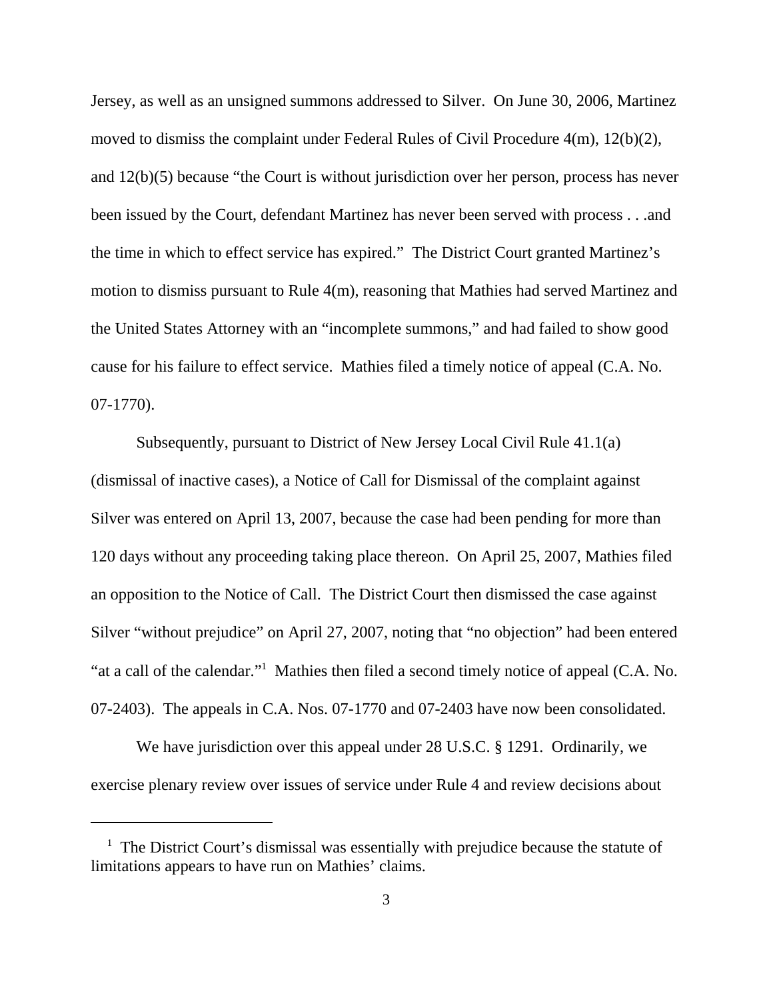Jersey, as well as an unsigned summons addressed to Silver. On June 30, 2006, Martinez moved to dismiss the complaint under Federal Rules of Civil Procedure 4(m), 12(b)(2), and 12(b)(5) because "the Court is without jurisdiction over her person, process has never been issued by the Court, defendant Martinez has never been served with process . . .and the time in which to effect service has expired." The District Court granted Martinez's motion to dismiss pursuant to Rule 4(m), reasoning that Mathies had served Martinez and the United States Attorney with an "incomplete summons," and had failed to show good cause for his failure to effect service. Mathies filed a timely notice of appeal (C.A. No. 07-1770).

Subsequently, pursuant to District of New Jersey Local Civil Rule 41.1(a) (dismissal of inactive cases), a Notice of Call for Dismissal of the complaint against Silver was entered on April 13, 2007, because the case had been pending for more than 120 days without any proceeding taking place thereon. On April 25, 2007, Mathies filed an opposition to the Notice of Call. The District Court then dismissed the case against Silver "without prejudice" on April 27, 2007, noting that "no objection" had been entered "at a call of the calendar."<sup>1</sup> Mathies then filed a second timely notice of appeal (C.A. No. 07-2403). The appeals in C.A. Nos. 07-1770 and 07-2403 have now been consolidated.

We have jurisdiction over this appeal under 28 U.S.C. § 1291. Ordinarily, we exercise plenary review over issues of service under Rule 4 and review decisions about

<sup>&</sup>lt;sup>1</sup> The District Court's dismissal was essentially with prejudice because the statute of limitations appears to have run on Mathies' claims.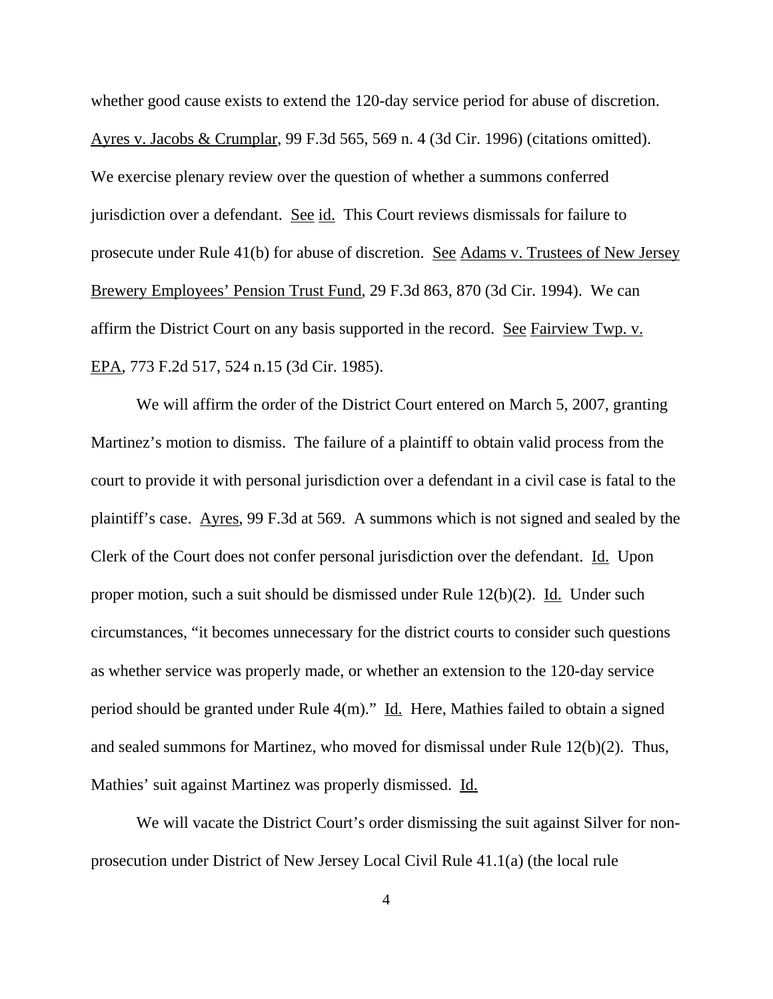whether good cause exists to extend the 120-day service period for abuse of discretion. Ayres v. Jacobs & Crumplar, 99 F.3d 565, 569 n. 4 (3d Cir. 1996) (citations omitted). We exercise plenary review over the question of whether a summons conferred jurisdiction over a defendant. See id. This Court reviews dismissals for failure to prosecute under Rule 41(b) for abuse of discretion. See Adams v. Trustees of New Jersey Brewery Employees' Pension Trust Fund, 29 F.3d 863, 870 (3d Cir. 1994). We can affirm the District Court on any basis supported in the record. See Fairview Twp. v. EPA, 773 F.2d 517, 524 n.15 (3d Cir. 1985).

We will affirm the order of the District Court entered on March 5, 2007, granting Martinez's motion to dismiss. The failure of a plaintiff to obtain valid process from the court to provide it with personal jurisdiction over a defendant in a civil case is fatal to the plaintiff's case. Ayres, 99 F.3d at 569. A summons which is not signed and sealed by the Clerk of the Court does not confer personal jurisdiction over the defendant. Id. Upon proper motion, such a suit should be dismissed under Rule  $12(b)(2)$ . Id. Under such circumstances, "it becomes unnecessary for the district courts to consider such questions as whether service was properly made, or whether an extension to the 120-day service period should be granted under Rule 4(m)." Id. Here, Mathies failed to obtain a signed and sealed summons for Martinez, who moved for dismissal under Rule 12(b)(2). Thus, Mathies' suit against Martinez was properly dismissed. Id.

We will vacate the District Court's order dismissing the suit against Silver for nonprosecution under District of New Jersey Local Civil Rule 41.1(a) (the local rule